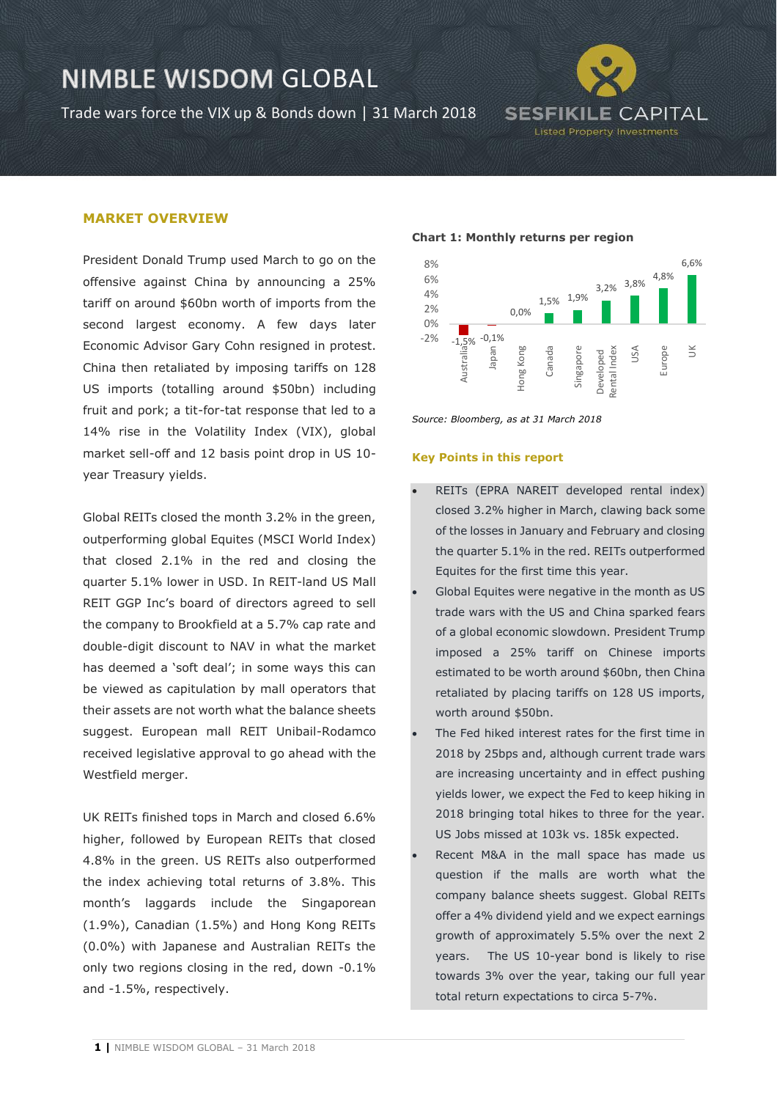Trade wars force the VIX up & Bonds down | 31 March 2018



#### **MARKET OVERVIEW**

President Donald Trump used March to go on the offensive against China by announcing a 25% tariff on around \$60bn worth of imports from the second largest economy. A few days later Economic Advisor Gary Cohn resigned in protest. China then retaliated by imposing tariffs on 128 US imports (totalling around \$50bn) including fruit and pork; a tit-for-tat response that led to a 14% rise in the Volatility Index (VIX), global market sell-off and 12 basis point drop in US 10 year Treasury yields.

Global REITs closed the month 3.2% in the green, outperforming global Equites (MSCI World Index) that closed 2.1% in the red and closing the quarter 5.1% lower in USD. In REIT-land US Mall REIT GGP Inc's board of directors agreed to sell the company to Brookfield at a 5.7% cap rate and double-digit discount to NAV in what the market has deemed a 'soft deal'; in some ways this can be viewed as capitulation by mall operators that their assets are not worth what the balance sheets suggest. European mall REIT Unibail-Rodamco received legislative approval to go ahead with the Westfield merger.

UK REITs finished tops in March and closed 6.6% higher, followed by European REITs that closed 4.8% in the green. US REITs also outperformed the index achieving total returns of 3.8%. This month's laggards include the Singaporean (1.9%), Canadian (1.5%) and Hong Kong REITs (0.0%) with Japanese and Australian REITs the only two regions closing in the red, down -0.1% and -1.5%, respectively.

#### **Chart 1: Monthly returns per region**



*Source: Bloomberg, as at 31 March 2018*

#### **Key Points in this report**

- REITs (EPRA NAREIT developed rental index) closed 3.2% higher in March, clawing back some of the losses in January and February and closing the quarter 5.1% in the red. REITs outperformed Equites for the first time this year.
- Global Equites were negative in the month as US trade wars with the US and China sparked fears of a global economic slowdown. President Trump imposed a 25% tariff on Chinese imports estimated to be worth around \$60bn, then China retaliated by placing tariffs on 128 US imports, worth around \$50bn.
- The Fed hiked interest rates for the first time in 2018 by 25bps and, although current trade wars are increasing uncertainty and in effect pushing yields lower, we expect the Fed to keep hiking in 2018 bringing total hikes to three for the year. US Jobs missed at 103k vs. 185k expected.
- Recent M&A in the mall space has made us question if the malls are worth what the company balance sheets suggest. Global REITs offer a 4% dividend yield and we expect earnings growth of approximately 5.5% over the next 2 years. The US 10-year bond is likely to rise towards 3% over the year, taking our full year total return expectations to circa 5-7%.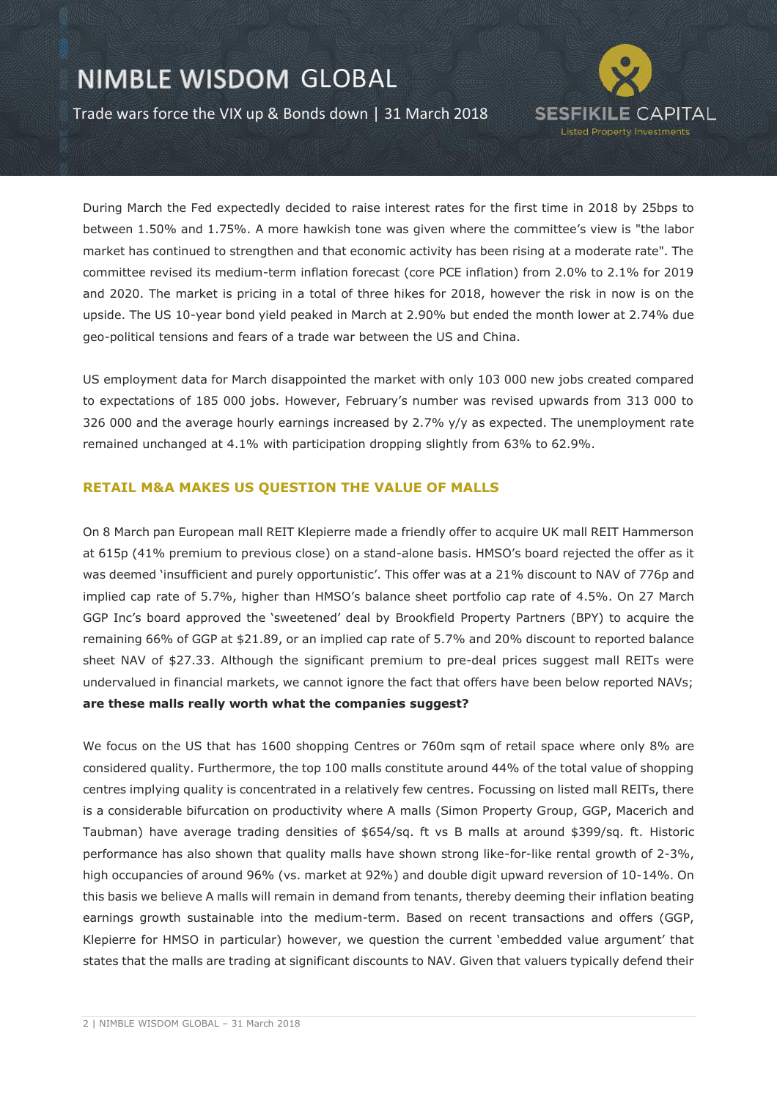Trade wars force the VIX up & Bonds down | 31 March 2018



During March the Fed expectedly decided to raise interest rates for the first time in 2018 by 25bps to between 1.50% and 1.75%. A more hawkish tone was given where the committee's view is "the labor market has continued to strengthen and that economic activity has been rising at a moderate rate". The committee revised its medium-term inflation forecast (core PCE inflation) from 2.0% to 2.1% for 2019 and 2020. The market is pricing in a total of three hikes for 2018, however the risk in now is on the upside. The US 10-year bond yield peaked in March at 2.90% but ended the month lower at 2.74% due geo-political tensions and fears of a trade war between the US and China.

US employment data for March disappointed the market with only 103 000 new jobs created compared to expectations of 185 000 jobs. However, February's number was revised upwards from 313 000 to 326 000 and the average hourly earnings increased by 2.7% y/y as expected. The unemployment rate remained unchanged at 4.1% with participation dropping slightly from 63% to 62.9%.

### **RETAIL M&A MAKES US QUESTION THE VALUE OF MALLS**

On 8 March pan European mall REIT Klepierre made a friendly offer to acquire UK mall REIT Hammerson at 615p (41% premium to previous close) on a stand-alone basis. HMSO's board rejected the offer as it was deemed 'insufficient and purely opportunistic'. This offer was at a 21% discount to NAV of 776p and implied cap rate of 5.7%, higher than HMSO's balance sheet portfolio cap rate of 4.5%. On 27 March GGP Inc's board approved the 'sweetened' deal by Brookfield Property Partners (BPY) to acquire the remaining 66% of GGP at \$21.89, or an implied cap rate of 5.7% and 20% discount to reported balance sheet NAV of \$27.33. Although the significant premium to pre-deal prices suggest mall REITs were undervalued in financial markets, we cannot ignore the fact that offers have been below reported NAVs; **are these malls really worth what the companies suggest?**

We focus on the US that has 1600 shopping Centres or 760m sqm of retail space where only 8% are considered quality. Furthermore, the top 100 malls constitute around 44% of the total value of shopping centres implying quality is concentrated in a relatively few centres. Focussing on listed mall REITs, there is a considerable bifurcation on productivity where A malls (Simon Property Group, GGP, Macerich and Taubman) have average trading densities of \$654/sq. ft vs B malls at around \$399/sq. ft. Historic performance has also shown that quality malls have shown strong like-for-like rental growth of 2-3%, high occupancies of around 96% (vs. market at 92%) and double digit upward reversion of 10-14%. On this basis we believe A malls will remain in demand from tenants, thereby deeming their inflation beating earnings growth sustainable into the medium-term. Based on recent transactions and offers (GGP, Klepierre for HMSO in particular) however, we question the current 'embedded value argument' that states that the malls are trading at significant discounts to NAV. Given that valuers typically defend their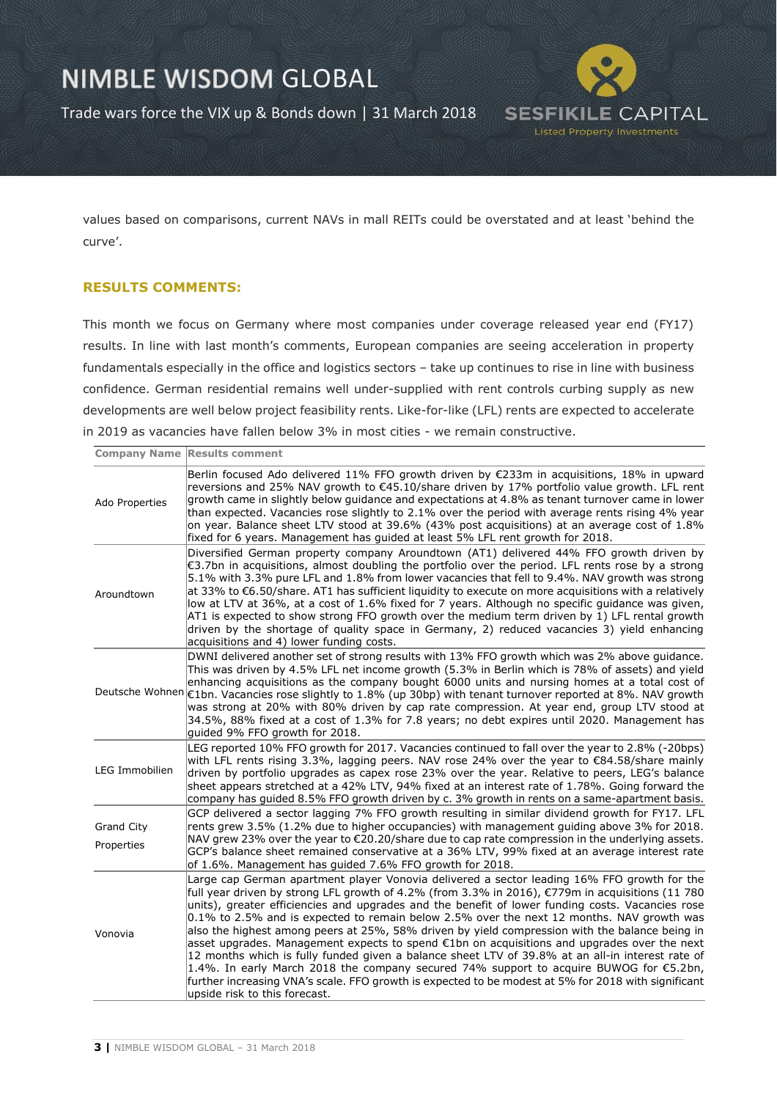Trade wars force the VIX up & Bonds down | 31 March 2018



values based on comparisons, current NAVs in mall REITs could be overstated and at least 'behind the curve'.

### **RESULTS COMMENTS:**

This month we focus on Germany where most companies under coverage released year end (FY17) results. In line with last month's comments, European companies are seeing acceleration in property fundamentals especially in the office and logistics sectors – take up continues to rise in line with business confidence. German residential remains well under-supplied with rent controls curbing supply as new developments are well below project feasibility rents. Like-for-like (LFL) rents are expected to accelerate in 2019 as vacancies have fallen below 3% in most cities - we remain constructive.

|                       | <b>Company Name Results comment</b>                                                                                                                                                                                                                                                                                                                                                                                                                                                                                                                                                                                                                                                                                                                                                                                                                                                                                                                  |
|-----------------------|------------------------------------------------------------------------------------------------------------------------------------------------------------------------------------------------------------------------------------------------------------------------------------------------------------------------------------------------------------------------------------------------------------------------------------------------------------------------------------------------------------------------------------------------------------------------------------------------------------------------------------------------------------------------------------------------------------------------------------------------------------------------------------------------------------------------------------------------------------------------------------------------------------------------------------------------------|
| Ado Properties        | Berlin focused Ado delivered 11% FFO growth driven by €233m in acquisitions, 18% in upward<br>reversions and 25% NAV growth to €45.10/share driven by 17% portfolio value growth. LFL rent<br>growth came in slightly below guidance and expectations at 4.8% as tenant turnover came in lower<br>than expected. Vacancies rose slightly to 2.1% over the period with average rents rising 4% year<br>on year. Balance sheet LTV stood at 39.6% (43% post acquisitions) at an average cost of 1.8%<br>fixed for 6 years. Management has guided at least 5% LFL rent growth for 2018.                                                                                                                                                                                                                                                                                                                                                                 |
| Aroundtown            | Diversified German property company Aroundtown (AT1) delivered 44% FFO growth driven by<br>€3.7bn in acquisitions, almost doubling the portfolio over the period. LFL rents rose by a strong<br>5.1% with 3.3% pure LFL and 1.8% from lower vacancies that fell to 9.4%. NAV growth was strong<br>at 33% to €6.50/share. AT1 has sufficient liquidity to execute on more acquisitions with a relatively<br>low at LTV at 36%, at a cost of 1.6% fixed for 7 years. Although no specific guidance was given,<br>AT1 is expected to show strong FFO growth over the medium term driven by 1) LFL rental growth<br>driven by the shortage of quality space in Germany, 2) reduced vacancies 3) yield enhancing<br>acquisitions and 4) lower funding costs.                                                                                                                                                                                              |
|                       | DWNI delivered another set of strong results with 13% FFO growth which was 2% above guidance.<br>This was driven by 4.5% LFL net income growth (5.3% in Berlin which is 78% of assets) and yield<br>enhancing acquisitions as the company bought 6000 units and nursing homes at a total cost of<br>Deutsche Wohnen €1bn. Vacancies rose slightly to 1.8% (up 30bp) with tenant turnover reported at 8%. NAV growth<br>was strong at 20% with 80% driven by cap rate compression. At year end, group LTV stood at<br>34.5%, 88% fixed at a cost of 1.3% for 7.8 years; no debt expires until 2020. Management has<br>quided 9% FFO growth for 2018.                                                                                                                                                                                                                                                                                                  |
| <b>LEG Immobilien</b> | LEG reported 10% FFO growth for 2017. Vacancies continued to fall over the year to 2.8% (-20bps)<br>with LFL rents rising 3.3%, lagging peers. NAV rose 24% over the year to $\epsilon$ 84.58/share mainly<br>driven by portfolio upgrades as capex rose 23% over the year. Relative to peers, LEG's balance<br>sheet appears stretched at a 42% LTV, 94% fixed at an interest rate of 1.78%. Going forward the<br>company has guided 8.5% FFO growth driven by c. 3% growth in rents on a same-apartment basis.                                                                                                                                                                                                                                                                                                                                                                                                                                     |
| Grand City            | GCP delivered a sector lagging 7% FFO growth resulting in similar dividend growth for FY17. LFL<br>rents grew 3.5% (1.2% due to higher occupancies) with management quiding above 3% for 2018.                                                                                                                                                                                                                                                                                                                                                                                                                                                                                                                                                                                                                                                                                                                                                       |
| Properties            | NAV grew 23% over the year to €20.20/share due to cap rate compression in the underlying assets.<br>GCP's balance sheet remained conservative at a 36% LTV, 99% fixed at an average interest rate<br>of 1.6%. Management has guided 7.6% FFO growth for 2018.                                                                                                                                                                                                                                                                                                                                                                                                                                                                                                                                                                                                                                                                                        |
| Vonovia               | Large cap German apartment player Vonovia delivered a sector leading 16% FFO growth for the<br>full year driven by strong LFL growth of 4.2% (from 3.3% in 2016), €779m in acquisitions (11 780<br>units), greater efficiencies and upgrades and the benefit of lower funding costs. Vacancies rose<br>$0.1\%$ to 2.5% and is expected to remain below 2.5% over the next 12 months. NAV growth was<br>also the highest among peers at 25%, 58% driven by yield compression with the balance being in<br>asset upgrades. Management expects to spend €1bn on acquisitions and upgrades over the next<br>12 months which is fully funded given a balance sheet LTV of 39.8% at an all-in interest rate of<br>1.4%. In early March 2018 the company secured 74% support to acquire BUWOG for $\epsilon$ 5.2bn,<br>further increasing VNA's scale. FFO growth is expected to be modest at 5% for 2018 with significant<br>upside risk to this forecast. |